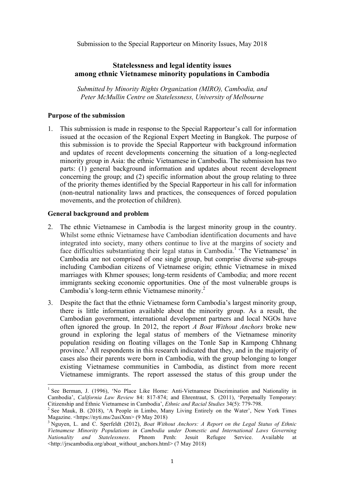Submission to the Special Rapporteur on Minority Issues, May 2018

# **Statelessness and legal identity issues among ethnic Vietnamese minority populations in Cambodia**

*Submitted by Minority Rights Organization (MIRO), Cambodia, and Peter McMullin Centre on Statelessness, University of Melbourne*

## **Purpose of the submission**

1. This submission is made in response to the Special Rapporteur's call for information issued at the occasion of the Regional Expert Meeting in Bangkok. The purpose of this submission is to provide the Special Rapporteur with background information and updates of recent developments concerning the situation of a long-neglected minority group in Asia: the ethnic Vietnamese in Cambodia. The submission has two parts: (1) general background information and updates about recent development concerning the group; and (2) specific information about the group relating to three of the priority themes identified by the Special Rapporteur in his call for information (non-neutral nationality laws and practices, the consequences of forced population movements, and the protection of children).

## **General background and problem**

- 2. The ethnic Vietnamese in Cambodia is the largest minority group in the country. Whilst some ethnic Vietnamese have Cambodian identification documents and have integrated into society, many others continue to live at the margins of society and face difficulties substantiating their legal status in Cambodia.<sup>1</sup> 'The Vietnamese' in Cambodia are not comprised of one single group, but comprise diverse sub-groups including Cambodian citizens of Vietnamese origin; ethnic Vietnamese in mixed marriages with Khmer spouses; long-term residents of Cambodia; and more recent immigrants seeking economic opportunities. One of the most vulnerable groups is Cambodia's long-term ethnic Vietnamese minority.2
- 3. Despite the fact that the ethnic Vietnamese form Cambodia's largest minority group, there is little information available about the minority group. As a result, the Cambodian government, international development partners and local NGOs have often ignored the group. In 2012, the report *A Boat Without Anchors* broke new ground in exploring the legal status of members of the Vietnamese minority population residing on floating villages on the Tonle Sap in Kampong Chhnang province.3 All respondents in this research indicated that they, and in the majority of cases also their parents were born in Cambodia, with the group belonging to longer existing Vietnamese communities in Cambodia, as distinct from more recent Vietnamese immigrants. The report assessed the status of this group under the

<sup>&</sup>lt;sup>1</sup> See Berman, J. (1996), 'No Place Like Home: Anti-Vietnamese Discrimination and Nationality in Cambodia', *California Law Review* 84: 817-874; and Ehrentraut, S. (2011), 'Perpetually Temporary: Citizenship and Ethnic Vietnamese in Cambodia', *Ethnic and Racial Studies* 34(5): 779-798.

<sup>&</sup>lt;sup>2</sup> See Mauk, B. (2018), 'A People in Limbo, Many Living Entirely on the Water', New York Times Magazine. <https://nyti.ms/2usiXnn> (9 May 2018)<br><sup>3</sup> Nguyen, L. and C. Sperfeldt (2012), *Boat Without Anchors: A Report on the Legal Status of Ethnic* 

*Vietnamese Minority Populations in Cambodia under Domestic and International Laws Governing Nationality and Statelessness*. Phnom Penh: Jesuit Refugee Service. Available at <http://jrscambodia.org/aboat\_without\_anchors.html> (7 May 2018)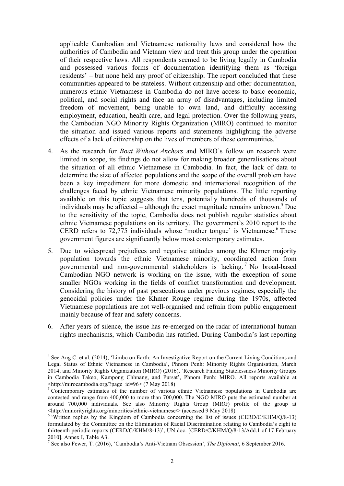applicable Cambodian and Vietnamese nationality laws and considered how the authorities of Cambodia and Vietnam view and treat this group under the operation of their respective laws. All respondents seemed to be living legally in Cambodia and possessed various forms of documentation identifying them as 'foreign residents' – but none held any proof of citizenship. The report concluded that these communities appeared to be stateless. Without citizenship and other documentation, numerous ethnic Vietnamese in Cambodia do not have access to basic economic, political, and social rights and face an array of disadvantages, including limited freedom of movement, being unable to own land, and difficulty accessing employment, education, health care, and legal protection. Over the following years, the Cambodian NGO Minority Rights Organization (MIRO) continued to monitor the situation and issued various reports and statements highlighting the adverse effects of a lack of citizenship on the lives of members of these communities.<sup>4</sup>

- 4. As the research for *Boat Without Anchors* and MIRO's follow on research were limited in scope, its findings do not allow for making broader generalisations about the situation of all ethnic Vietnamese in Cambodia. In fact, the lack of data to determine the size of affected populations and the scope of the overall problem have been a key impediment for more domestic and international recognition of the challenges faced by ethnic Vietnamese minority populations. The little reporting available on this topic suggests that tens, potentially hundreds of thousands of individuals may be affected  $-$  although the exact magnitude remains unknown.<sup>5</sup> Due to the sensitivity of the topic, Cambodia does not publish regular statistics about ethnic Vietnamese populations on its territory. The government's 2010 report to the CERD refers to  $72.775$  individuals whose 'mother tongue' is Vietnamese.<sup>6</sup> These government figures are significantly below most contemporary estimates.
- 5. Due to widespread prejudices and negative attitudes among the Khmer majority population towards the ethnic Vietnamese minority, coordinated action from governmental and non-governmental stakeholders is lacking. <sup>7</sup> No broad-based Cambodian NGO network is working on the issue, with the exception of some smaller NGOs working in the fields of conflict transformation and development. Considering the history of past persecutions under previous regimes, especially the genocidal policies under the Khmer Rouge regime during the 1970s, affected Vietnamese populations are not well-organised and refrain from public engagement mainly because of fear and safety concerns.
- 6. After years of silence, the issue has re-emerged on the radar of international human rights mechanisms, which Cambodia has ratified. During Cambodia's last reporting

 <sup>4</sup> See Ang C. et al. (2014), 'Limbo on Earth: An Investigative Report on the Current Living Conditions and Legal Status of Ethnic Vietnamese in Cambodia', Phnom Penh: Minority Rights Organisation, March 2014; and Minority Rights Organization (MIRO) (2016), 'Research Finding Statelessness Minority Groups in Cambodia Takeo, Kampong Chhnang, and Pursat', Phnom Penh: MIRO. All reports available at  $\frac{\text{th}}{\text{th}}$  /mirocambodia.org/?page\_id=96> (7 May 2018)<br>
<sup>5</sup> Contemporary estimates of the number of various ethnic Vietnamese populations in Cambodia are

contested and range from 400,000 to more than 700,000. The NGO MIRO puts the estimated number at around 700,000 individuals. See also Minority Rights Group (MRG) profile of the group at  $\langle \text{http://minorityrights.org/minorities/ethnic-vietnamese/> (accessed 9 May 2018)}$ 

 $6$  'Written replies by the Kingdom of Cambodia concerning the list of issues (CERD/C/KHM/Q/8-13) formulated by the Committee on the Elimination of Racial Discrimination relating to Cambodia's eight to thirteenth periodic reports (CERD/C/KHM/8-13)', UN doc. [CERD/C/KHM/Q/8-13/Add.1 of 17 February 2010], Annex I, Table A3. <sup>7</sup> See also Fewer, T. (2016), 'Cambodia's Anti-Vietnam Obsession', *The Diplomat*, 6 September 2016.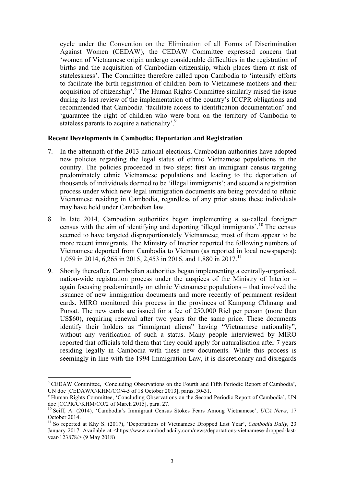cycle under the Convention on the Elimination of all Forms of Discrimination Against Women (CEDAW), the CEDAW Committee expressed concern that 'women of Vietnamese origin undergo considerable difficulties in the registration of births and the acquisition of Cambodian citizenship, which places them at risk of statelessness'. The Committee therefore called upon Cambodia to 'intensify efforts to facilitate the birth registration of children born to Vietnamese mothers and their acquisition of citizenship'.<sup>8</sup> The Human Rights Committee similarly raised the issue during its last review of the implementation of the country's ICCPR obligations and recommended that Cambodia 'facilitate access to identification documentation' and 'guarantee the right of children who were born on the territory of Cambodia to stateless parents to acquire a nationality'.<sup>9</sup>

## **Recent Developments in Cambodia: Deportation and Registration**

- 7. In the aftermath of the 2013 national elections, Cambodian authorities have adopted new policies regarding the legal status of ethnic Vietnamese populations in the country. The policies proceeded in two steps: first an immigrant census targeting predominately ethnic Vietnamese populations and leading to the deportation of thousands of individuals deemed to be 'illegal immigrants'; and second a registration process under which new legal immigration documents are being provided to ethnic Vietnamese residing in Cambodia, regardless of any prior status these individuals may have held under Cambodian law.
- 8. In late 2014, Cambodian authorities began implementing a so-called foreigner census with the aim of identifying and deporting 'illegal immigrants'.<sup>10</sup> The census seemed to have targeted disproportionately Vietnamese; most of them appear to be more recent immigrants. The Ministry of Interior reported the following numbers of Vietnamese deported from Cambodia to Vietnam (as reported in local newspapers): 1,059 in 2014, 6,265 in 2015, 2,453 in 2016, and 1,880 in 2017.<sup>11</sup>
- 9. Shortly thereafter, Cambodian authorities began implementing a centrally-organised, nation-wide registration process under the auspices of the Ministry of Interior – again focusing predominantly on ethnic Vietnamese populations – that involved the issuance of new immigration documents and more recently of permanent resident cards. MIRO monitored this process in the provinces of Kampong Chhnang and Pursat. The new cards are issued for a fee of 250,000 Riel per person (more than US\$60), requiring renewal after two years for the same price. These documents identify their holders as "immigrant aliens" having "Vietnamese nationality", without any verification of such a status. Many people interviewed by MIRO reported that officials told them that they could apply for naturalisation after 7 years residing legally in Cambodia with these new documents. While this process is seemingly in line with the 1994 Immigration Law, it is discretionary and disregards

<sup>&</sup>lt;sup>8</sup> CEDAW Committee, 'Concluding Observations on the Fourth and Fifth Periodic Report of Cambodia', UN doc [CEDAW/C/KHM/CO/4-5 of 18 October 2013], paras. 30-31.<br><sup>9</sup> Human Rights Committee, 'Concluding Observations on the Second Periodic Report of Cambodia', UN

doc [CCPR/C/KHM/CO/2 of March 2015], para. 27.

<sup>10</sup> Seiff, A. (2014), 'Cambodia's Immigrant Census Stokes Fears Among Vietnamese', *UCA News*, 17 October 2014.<br><sup>11</sup> So reported at Khy S. (2017), 'Deportations of Vietnamese Dropped Last Year', *Cambodia Daily*, 23

January 2017. Available at <https://www.cambodiadaily.com/news/deportations-vietnamese-dropped-lastyear-123878/> (9 May 2018)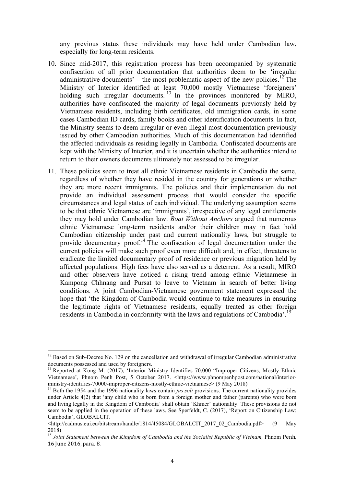any previous status these individuals may have held under Cambodian law, especially for long-term residents.

- 10. Since mid-2017, this registration process has been accompanied by systematic confiscation of all prior documentation that authorities deem to be 'irregular administrative documents' – the most problematic aspect of the new policies.<sup>12</sup> The Ministry of Interior identified at least 70,000 mostly Vietnamese 'foreigners' holding such irregular documents.  $^{13}$  In the provinces monitored by MIRO, authorities have confiscated the majority of legal documents previously held by Vietnamese residents, including birth certificates, old immigration cards, in some cases Cambodian ID cards, family books and other identification documents. In fact, the Ministry seems to deem irregular or even illegal most documentation previously issued by other Cambodian authorities. Much of this documentation had identified the affected individuals as residing legally in Cambodia. Confiscated documents are kept with the Ministry of Interior, and it is uncertain whether the authorities intend to return to their owners documents ultimately not assessed to be irregular.
- 11. These policies seem to treat all ethnic Vietnamese residents in Cambodia the same, regardless of whether they have resided in the country for generations or whether they are more recent immigrants. The policies and their implementation do not provide an individual assessment process that would consider the specific circumstances and legal status of each individual. The underlying assumption seems to be that ethnic Vietnamese are 'immigrants', irrespective of any legal entitlements they may hold under Cambodian law. *Boat Without Anchors* argued that numerous ethnic Vietnamese long-term residents and/or their children may in fact hold Cambodian citizenship under past and current nationality laws, but struggle to provide documentary proof.<sup>14</sup> The confiscation of legal documentation under the current policies will make such proof even more difficult and, in effect, threatens to eradicate the limited documentary proof of residence or previous migration held by affected populations. High fees have also served as a deterrent. As a result, MIRO and other observers have noticed a rising trend among ethnic Vietnamese in Kampong Chhnang and Pursat to leave to Vietnam in search of better living conditions. A joint Cambodian-Vietnamese government statement expressed the hope that 'the Kingdom of Cambodia would continue to take measures in ensuring the legitimate rights of Vietnamese residents, equally treated as other foreign residents in Cambodia in conformity with the laws and regulations of Cambodia'.<sup>15</sup>

<sup>&</sup>lt;sup>12</sup> Based on Sub-Decree No. 129 on the cancellation and withdrawal of irregular Cambodian administrative documents possessed and used by foreigners.

<sup>&</sup>lt;sup>13</sup> Reported at Kong M. (2017), 'Interior Ministry Identifies 70,000 "Improper Citizens, Mostly Ethnic Vietnamese', Phnom Penh Post, 5 October 2017. <https://www.phnompenhpost.com/national/interiorministry-identifies-70000-improper-citizens-mostly-ethnic-vietnamese> (9 May 2018)<br><sup>14</sup> Both the 1954 and the 1996 nationality laws contain *jus soli* provisions. The current nationality provides

under Article 4(2) that 'any child who is born from a foreign mother and father (parents) who were born and living legally in the Kingdom of Cambodia' shall obtain 'Khmer' nationality. These provisions do not seem to be applied in the operation of these laws. See Sperfeldt, C. (2017), 'Report on Citizenship Law: Cambodia', GLOBALCIT.

<sup>&</sup>lt;http://cadmus.eui.eu/bitstream/handle/1814/45084/GLOBALCIT\_2017\_02\_Cambodia.pdf> (9 May 2018)

<sup>&</sup>lt;sup>15</sup> Joint Statement between the Kingdom of Cambodia and the Socialist Republic of Vietnam, Phnom Penh, 16 June 2016, para. 8.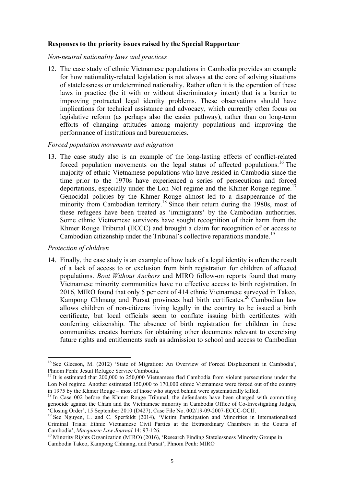## **Responses to the priority issues raised by the Special Rapporteur**

#### *Non-neutral nationality laws and practices*

12. The case study of ethnic Vietnamese populations in Cambodia provides an example for how nationality-related legislation is not always at the core of solving situations of statelessness or undetermined nationality. Rather often it is the operation of these laws in practice (be it with or without discriminatory intent) that is a barrier to improving protracted legal identity problems. These observations should have implications for technical assistance and advocacy, which currently often focus on legislative reform (as perhaps also the easier pathway), rather than on long-term efforts of changing attitudes among majority populations and improving the performance of institutions and bureaucracies.

#### *Forced population movements and migration*

13. The case study also is an example of the long-lasting effects of conflict-related forced population movements on the legal status of affected populations.<sup>16</sup> The majority of ethnic Vietnamese populations who have resided in Cambodia since the time prior to the 1970s have experienced a series of persecutions and forced deportations, especially under the Lon Nol regime and the Khmer Rouge regime.<sup>17</sup> Genocidal policies by the Khmer Rouge almost led to a disappearance of the minority from Cambodian territory.<sup>18</sup> Since their return during the 1980s, most of these refugees have been treated as 'immigrants' by the Cambodian authorities. Some ethnic Vietnamese survivors have sought recognition of their harm from the Khmer Rouge Tribunal (ECCC) and brought a claim for recognition of or access to Cambodian citizenship under the Tribunal's collective reparations mandate.<sup>19</sup>

#### *Protection of children*

14. Finally, the case study is an example of how lack of a legal identity is often the result of a lack of access to or exclusion from birth registration for children of affected populations. *Boat Without Anchors* and MIRO follow-on reports found that many Vietnamese minority communities have no effective access to birth registration. In 2016, MIRO found that only 5 per cent of 414 ethnic Vietnamese surveyed in Takeo, Kampong Chhnang and Pursat provinces had birth certificates. <sup>20</sup> Cambodian law allows children of non-citizens living legally in the country to be issued a birth certificate, but local officials seem to conflate issuing birth certificates with conferring citizenship. The absence of birth registration for children in these communities creates barriers for obtaining other documents relevant to exercising future rights and entitlements such as admission to school and access to Cambodian

<sup>&</sup>lt;sup>16</sup> See Gleeson, M. (2012) 'State of Migration: An Overview of Forced Displacement in Cambodia', Phnom Penh: Jesuit Refugee Service Cambodia.

<sup>&</sup>lt;sup>17</sup> It is estimated that 200,000 to 250,000 Vietnamese fled Cambodia from violent persecutions under the Lon Nol regime. Another estimated 150,000 to 170,000 ethnic Vietnamese were forced out of the country in 1975 by the Khmer Rouge – most of those who stayed behind were systematically killed. <sup>18</sup> In Case 002 before the Khmer Rouge Tribunal, the defendants have been charged with committing

genocide against the Cham and the Vietnamese minority in Cambodia Office of Co-Investigating Judges, 'Closing Order', 15 September 2010 (D427), Case File No. 002/19-09-2007-ECCC-OCIJ.

<sup>&</sup>lt;sup>19</sup> See Nguyen, L. and C. Sperfeldt (2014), 'Victim Participation and Minorities in Internationalised Criminal Trials: Ethnic Vietnamese Civil Parties at the Extraordinary Chambers in the Courts of Cambodia', *Macquarie Law Journal* 14: 97-126. <sup>20</sup> Minority Rights Organization (MIRO) (2016), 'Research Finding Statelessness Minority Groups in

Cambodia Takeo, Kampong Chhnang, and Pursat', Phnom Penh: MIRO